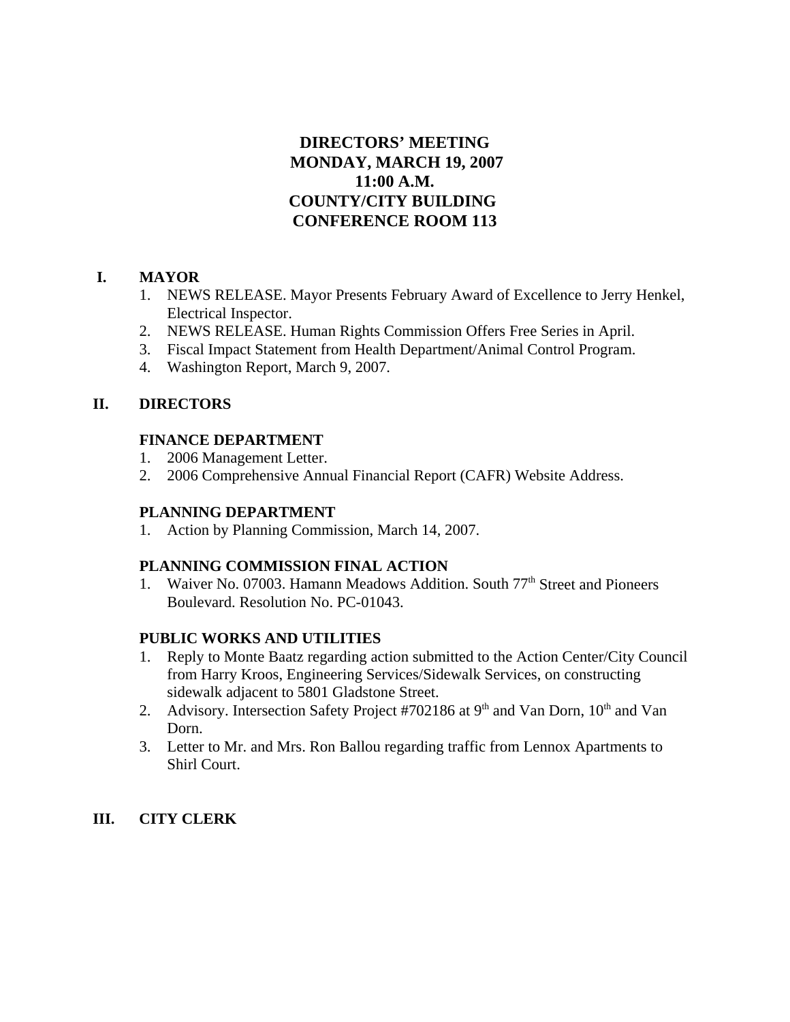# **DIRECTORS' MEETING MONDAY, MARCH 19, 2007 11:00 A.M. COUNTY/CITY BUILDING CONFERENCE ROOM 113**

## **I. MAYOR**

- 1. NEWS RELEASE. Mayor Presents February Award of Excellence to Jerry Henkel, Electrical Inspector.
- 2. NEWS RELEASE. Human Rights Commission Offers Free Series in April.
- 3. Fiscal Impact Statement from Health Department/Animal Control Program.
- 4. Washington Report, March 9, 2007.

## **II. DIRECTORS**

## **FINANCE DEPARTMENT**

- 1. 2006 Management Letter.
- 2. 2006 Comprehensive Annual Financial Report (CAFR) Website Address.

## **PLANNING DEPARTMENT**

1. Action by Planning Commission, March 14, 2007.

## **PLANNING COMMISSION FINAL ACTION**

1. Waiver No. 07003. Hamann Meadows Addition. South 77<sup>th</sup> Street and Pioneers Boulevard. Resolution No. PC-01043.

## **PUBLIC WORKS AND UTILITIES**

- 1. Reply to Monte Baatz regarding action submitted to the Action Center/City Council from Harry Kroos, Engineering Services/Sidewalk Services, on constructing sidewalk adjacent to 5801 Gladstone Street.
- 2. Advisory. Intersection Safety Project #702186 at  $9<sup>th</sup>$  and Van Dorn,  $10<sup>th</sup>$  and Van Dorn.
- 3. Letter to Mr. and Mrs. Ron Ballou regarding traffic from Lennox Apartments to Shirl Court.

# **III. CITY CLERK**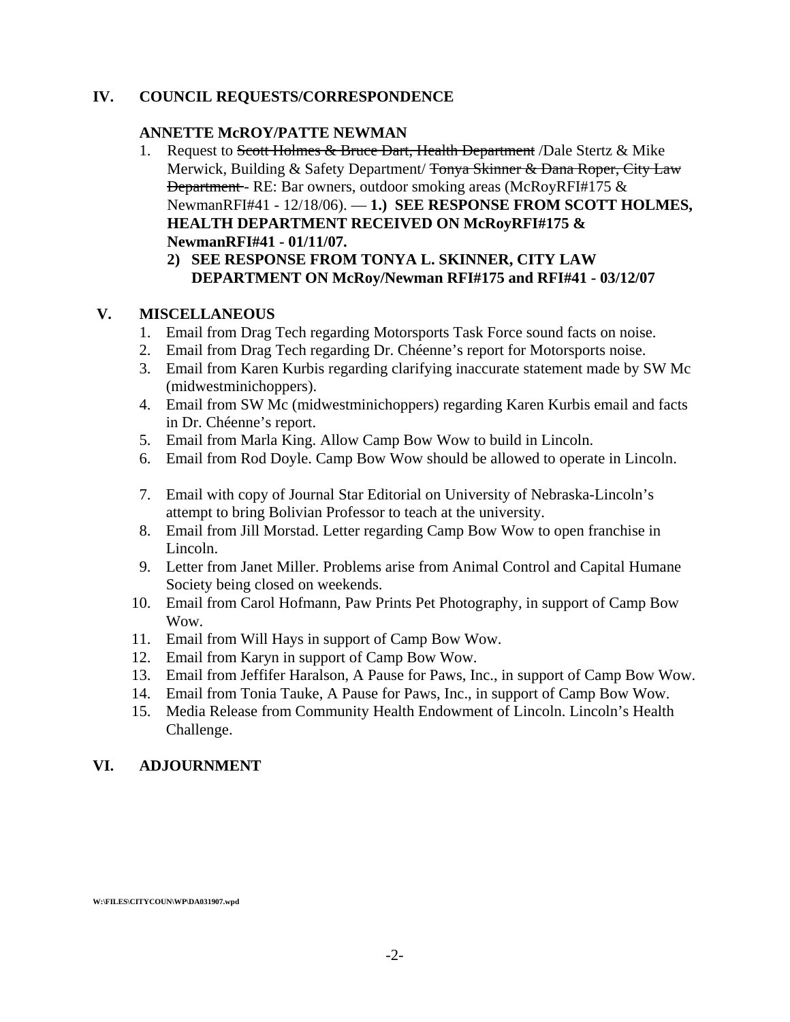## **IV. COUNCIL REQUESTS/CORRESPONDENCE**

#### **ANNETTE McROY/PATTE NEWMAN**

- 1. Request to Scott Holmes & Bruce Dart, Health Department */Dale Stertz & Mike* Merwick, Building & Safety Department/ Tonya Skinner & Dana Roper, City Law Department - RE: Bar owners, outdoor smoking areas (McRoyRFI#175 & NewmanRFI#41 - 12/18/06). — **1.) SEE RESPONSE FROM SCOTT HOLMES, HEALTH DEPARTMENT RECEIVED ON McRoyRFI#175 & NewmanRFI#41 - 01/11/07.** 
	- **2) SEE RESPONSE FROM TONYA L. SKINNER, CITY LAW DEPARTMENT ON McRoy/Newman RFI#175 and RFI#41 - 03/12/07**

### **V. MISCELLANEOUS**

- 1. Email from Drag Tech regarding Motorsports Task Force sound facts on noise.
- 2. Email from Drag Tech regarding Dr. Chéenne's report for Motorsports noise.
- 3. Email from Karen Kurbis regarding clarifying inaccurate statement made by SW Mc (midwestminichoppers).
- 4. Email from SW Mc (midwestminichoppers) regarding Karen Kurbis email and facts in Dr. Chéenne's report.
- 5. Email from Marla King. Allow Camp Bow Wow to build in Lincoln.
- 6. Email from Rod Doyle. Camp Bow Wow should be allowed to operate in Lincoln.
- 7. Email with copy of Journal Star Editorial on University of Nebraska-Lincoln's attempt to bring Bolivian Professor to teach at the university.
- 8. Email from Jill Morstad. Letter regarding Camp Bow Wow to open franchise in Lincoln.
- 9. Letter from Janet Miller. Problems arise from Animal Control and Capital Humane Society being closed on weekends.
- 10. Email from Carol Hofmann, Paw Prints Pet Photography, in support of Camp Bow Wow.
- 11. Email from Will Hays in support of Camp Bow Wow.
- 12. Email from Karyn in support of Camp Bow Wow.
- 13. Email from Jeffifer Haralson, A Pause for Paws, Inc., in support of Camp Bow Wow.
- 14. Email from Tonia Tauke, A Pause for Paws, Inc., in support of Camp Bow Wow.
- 15. Media Release from Community Health Endowment of Lincoln. Lincoln's Health Challenge.

### **VI. ADJOURNMENT**

**W:\FILES\CITYCOUN\WP\DA031907.wpd**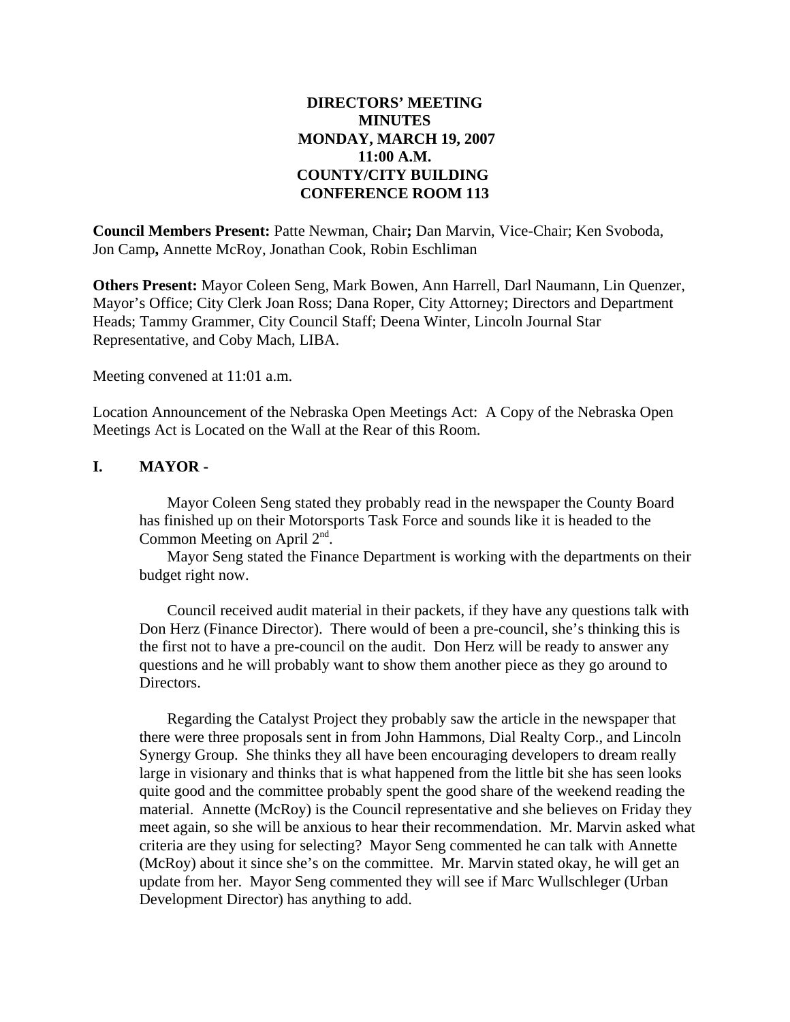## **DIRECTORS' MEETING MINUTES MONDAY, MARCH 19, 2007 11:00 A.M. COUNTY/CITY BUILDING CONFERENCE ROOM 113**

**Council Members Present:** Patte Newman, Chair**;** Dan Marvin, Vice-Chair; Ken Svoboda, Jon Camp**,** Annette McRoy, Jonathan Cook, Robin Eschliman

**Others Present:** Mayor Coleen Seng, Mark Bowen, Ann Harrell, Darl Naumann, Lin Quenzer, Mayor's Office; City Clerk Joan Ross; Dana Roper, City Attorney; Directors and Department Heads; Tammy Grammer, City Council Staff; Deena Winter, Lincoln Journal Star Representative, and Coby Mach, LIBA.

Meeting convened at 11:01 a.m.

Location Announcement of the Nebraska Open Meetings Act: A Copy of the Nebraska Open Meetings Act is Located on the Wall at the Rear of this Room.

### **I. MAYOR -**

Mayor Coleen Seng stated they probably read in the newspaper the County Board has finished up on their Motorsports Task Force and sounds like it is headed to the Common Meeting on April 2nd.

Mayor Seng stated the Finance Department is working with the departments on their budget right now.

Council received audit material in their packets, if they have any questions talk with Don Herz (Finance Director). There would of been a pre-council, she's thinking this is the first not to have a pre-council on the audit. Don Herz will be ready to answer any questions and he will probably want to show them another piece as they go around to Directors.

Regarding the Catalyst Project they probably saw the article in the newspaper that there were three proposals sent in from John Hammons, Dial Realty Corp., and Lincoln Synergy Group. She thinks they all have been encouraging developers to dream really large in visionary and thinks that is what happened from the little bit she has seen looks quite good and the committee probably spent the good share of the weekend reading the material. Annette (McRoy) is the Council representative and she believes on Friday they meet again, so she will be anxious to hear their recommendation. Mr. Marvin asked what criteria are they using for selecting? Mayor Seng commented he can talk with Annette (McRoy) about it since she's on the committee. Mr. Marvin stated okay, he will get an update from her. Mayor Seng commented they will see if Marc Wullschleger (Urban Development Director) has anything to add.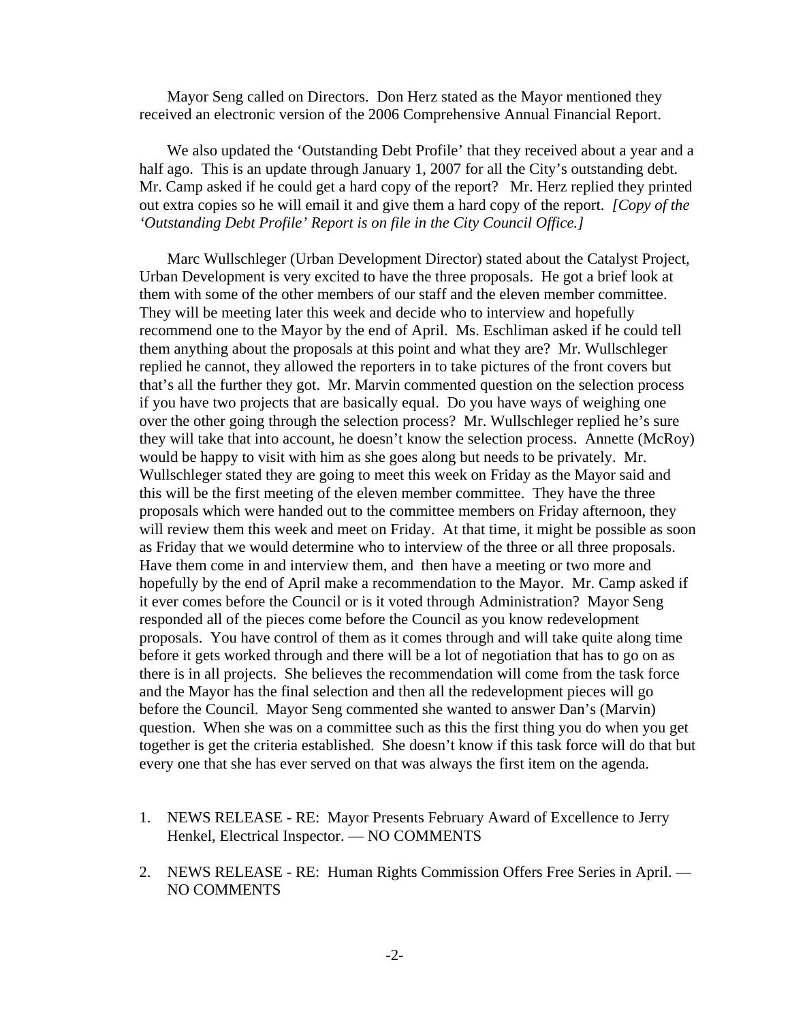Mayor Seng called on Directors. Don Herz stated as the Mayor mentioned they received an electronic version of the 2006 Comprehensive Annual Financial Report.

We also updated the 'Outstanding Debt Profile' that they received about a year and a half ago. This is an update through January 1, 2007 for all the City's outstanding debt. Mr. Camp asked if he could get a hard copy of the report? Mr. Herz replied they printed out extra copies so he will email it and give them a hard copy of the report. *[Copy of the 'Outstanding Debt Profile' Report is on file in the City Council Office.]* 

Marc Wullschleger (Urban Development Director) stated about the Catalyst Project, Urban Development is very excited to have the three proposals. He got a brief look at them with some of the other members of our staff and the eleven member committee. They will be meeting later this week and decide who to interview and hopefully recommend one to the Mayor by the end of April. Ms. Eschliman asked if he could tell them anything about the proposals at this point and what they are? Mr. Wullschleger replied he cannot, they allowed the reporters in to take pictures of the front covers but that's all the further they got. Mr. Marvin commented question on the selection process if you have two projects that are basically equal. Do you have ways of weighing one over the other going through the selection process? Mr. Wullschleger replied he's sure they will take that into account, he doesn't know the selection process. Annette (McRoy) would be happy to visit with him as she goes along but needs to be privately. Mr. Wullschleger stated they are going to meet this week on Friday as the Mayor said and this will be the first meeting of the eleven member committee. They have the three proposals which were handed out to the committee members on Friday afternoon, they will review them this week and meet on Friday. At that time, it might be possible as soon as Friday that we would determine who to interview of the three or all three proposals. Have them come in and interview them, and then have a meeting or two more and hopefully by the end of April make a recommendation to the Mayor. Mr. Camp asked if it ever comes before the Council or is it voted through Administration? Mayor Seng responded all of the pieces come before the Council as you know redevelopment proposals. You have control of them as it comes through and will take quite along time before it gets worked through and there will be a lot of negotiation that has to go on as there is in all projects. She believes the recommendation will come from the task force and the Mayor has the final selection and then all the redevelopment pieces will go before the Council. Mayor Seng commented she wanted to answer Dan's (Marvin) question. When she was on a committee such as this the first thing you do when you get together is get the criteria established. She doesn't know if this task force will do that but every one that she has ever served on that was always the first item on the agenda.

- 1. NEWS RELEASE RE: Mayor Presents February Award of Excellence to Jerry Henkel, Electrical Inspector. — NO COMMENTS
- 2. NEWS RELEASE RE: Human Rights Commission Offers Free Series in April. NO COMMENTS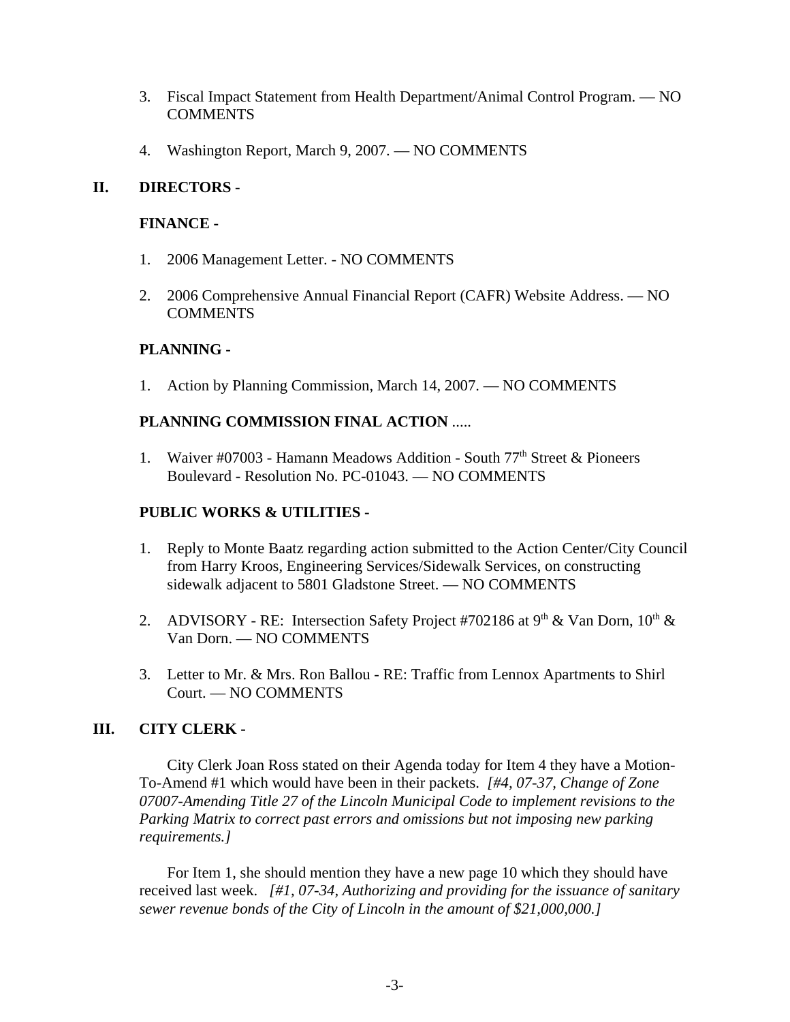- 3. Fiscal Impact Statement from Health Department/Animal Control Program. NO **COMMENTS**
- 4. Washington Report, March 9, 2007. NO COMMENTS

## **II. DIRECTORS** -

## **FINANCE -**

- 1. 2006 Management Letter. NO COMMENTS
- 2. 2006 Comprehensive Annual Financial Report (CAFR) Website Address. NO **COMMENTS**

## **PLANNING -**

1. Action by Planning Commission, March 14, 2007. — NO COMMENTS

## **PLANNING COMMISSION FINAL ACTION** .....

1. Waiver #07003 - Hamann Meadows Addition - South 77<sup>th</sup> Street & Pioneers Boulevard - Resolution No. PC-01043. — NO COMMENTS

## **PUBLIC WORKS & UTILITIES -**

- 1. Reply to Monte Baatz regarding action submitted to the Action Center/City Council from Harry Kroos, Engineering Services/Sidewalk Services, on constructing sidewalk adjacent to 5801 Gladstone Street. — NO COMMENTS
- 2. ADVISORY RE: Intersection Safety Project #702186 at 9<sup>th</sup> & Van Dorn, 10<sup>th</sup> & Van Dorn. — NO COMMENTS
- 3. Letter to Mr. & Mrs. Ron Ballou RE: Traffic from Lennox Apartments to Shirl Court. — NO COMMENTS

## **III. CITY CLERK -**

City Clerk Joan Ross stated on their Agenda today for Item 4 they have a Motion-To-Amend #1 which would have been in their packets. *[#4, 07-37, Change of Zone 07007-Amending Title 27 of the Lincoln Municipal Code to implement revisions to the Parking Matrix to correct past errors and omissions but not imposing new parking requirements.]*

For Item 1, she should mention they have a new page 10 which they should have received last week. *[#1, 07-34, Authorizing and providing for the issuance of sanitary sewer revenue bonds of the City of Lincoln in the amount of \$21,000,000.]*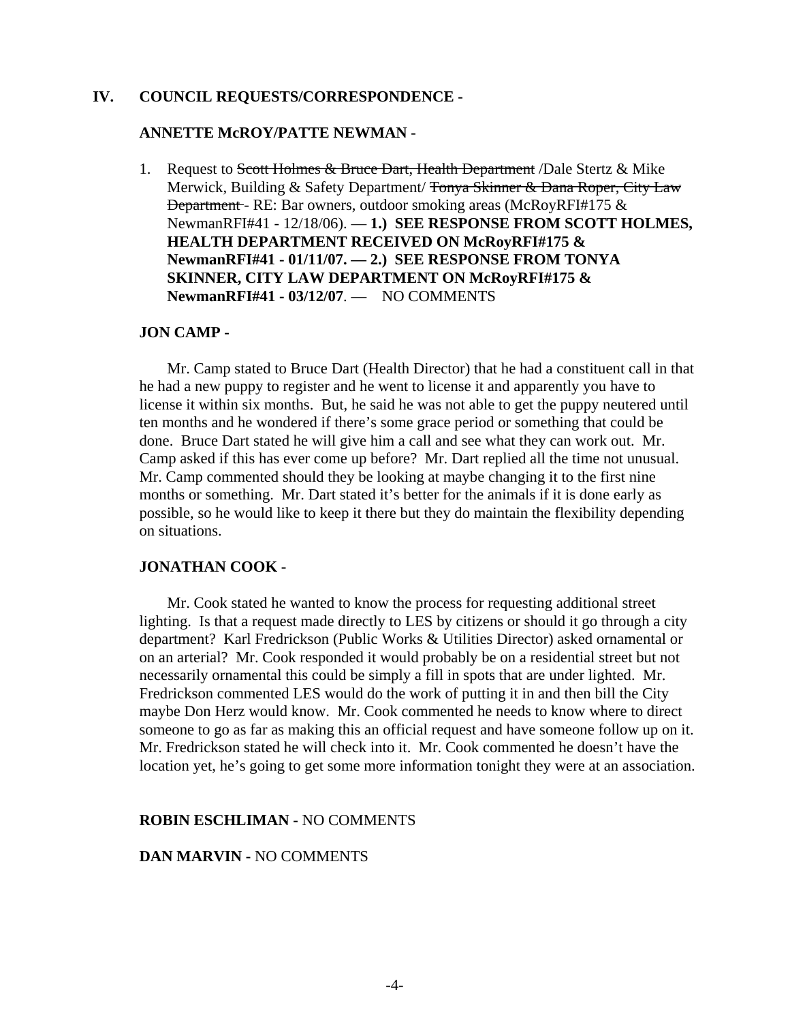#### **IV. COUNCIL REQUESTS/CORRESPONDENCE -**

#### **ANNETTE McROY/PATTE NEWMAN -**

1. Request to Scott Holmes & Bruce Dart, Health Department / Dale Stertz & Mike Merwick, Building & Safety Department/ Tonya Skinner & Dana Roper, City Law Department - RE: Bar owners, outdoor smoking areas (McRoyRFI#175 & NewmanRFI#41 - 12/18/06). — **1.) SEE RESPONSE FROM SCOTT HOLMES, HEALTH DEPARTMENT RECEIVED ON McRoyRFI#175 & NewmanRFI#41 - 01/11/07. — 2.) SEE RESPONSE FROM TONYA SKINNER, CITY LAW DEPARTMENT ON McRoyRFI#175 & NewmanRFI#41 - 03/12/07**. — NO COMMENTS

#### **JON CAMP -**

Mr. Camp stated to Bruce Dart (Health Director) that he had a constituent call in that he had a new puppy to register and he went to license it and apparently you have to license it within six months. But, he said he was not able to get the puppy neutered until ten months and he wondered if there's some grace period or something that could be done. Bruce Dart stated he will give him a call and see what they can work out. Mr. Camp asked if this has ever come up before? Mr. Dart replied all the time not unusual. Mr. Camp commented should they be looking at maybe changing it to the first nine months or something. Mr. Dart stated it's better for the animals if it is done early as possible, so he would like to keep it there but they do maintain the flexibility depending on situations.

#### **JONATHAN COOK -**

Mr. Cook stated he wanted to know the process for requesting additional street lighting. Is that a request made directly to LES by citizens or should it go through a city department? Karl Fredrickson (Public Works & Utilities Director) asked ornamental or on an arterial? Mr. Cook responded it would probably be on a residential street but not necessarily ornamental this could be simply a fill in spots that are under lighted. Mr. Fredrickson commented LES would do the work of putting it in and then bill the City maybe Don Herz would know. Mr. Cook commented he needs to know where to direct someone to go as far as making this an official request and have someone follow up on it. Mr. Fredrickson stated he will check into it. Mr. Cook commented he doesn't have the location yet, he's going to get some more information tonight they were at an association.

#### **ROBIN ESCHLIMAN -** NO COMMENTS

#### **DAN MARVIN -** NO COMMENTS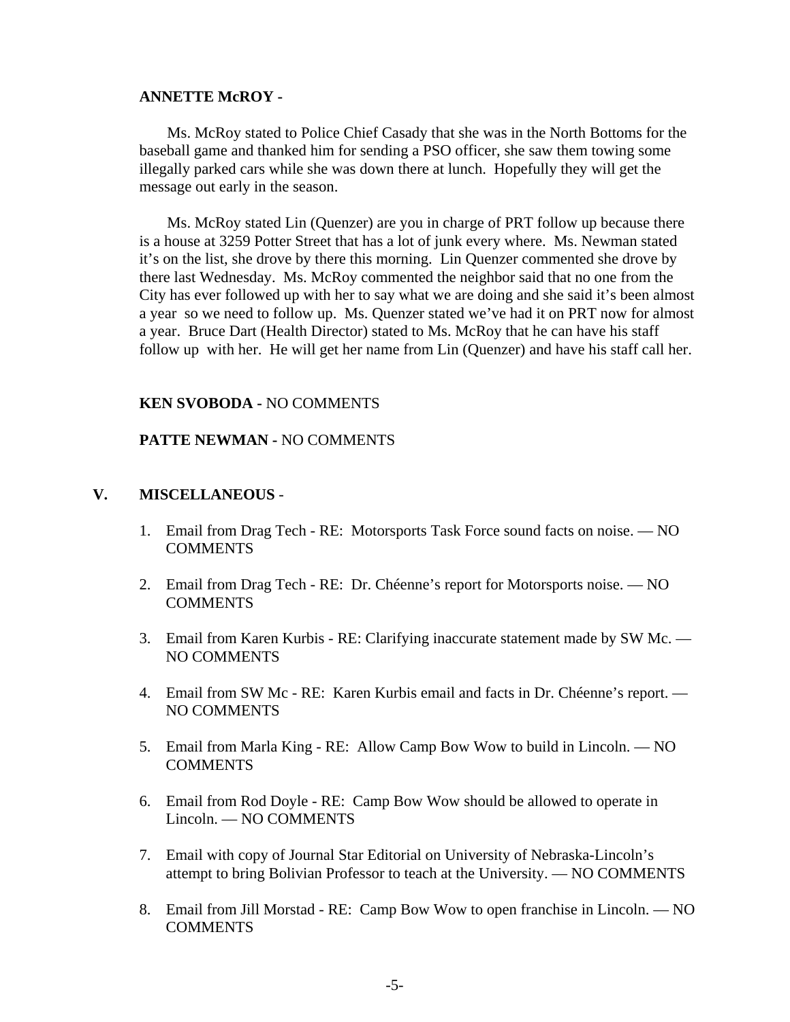#### **ANNETTE McROY -**

Ms. McRoy stated to Police Chief Casady that she was in the North Bottoms for the baseball game and thanked him for sending a PSO officer, she saw them towing some illegally parked cars while she was down there at lunch. Hopefully they will get the message out early in the season.

Ms. McRoy stated Lin (Quenzer) are you in charge of PRT follow up because there is a house at 3259 Potter Street that has a lot of junk every where. Ms. Newman stated it's on the list, she drove by there this morning. Lin Quenzer commented she drove by there last Wednesday. Ms. McRoy commented the neighbor said that no one from the City has ever followed up with her to say what we are doing and she said it's been almost a year so we need to follow up. Ms. Quenzer stated we've had it on PRT now for almost a year. Bruce Dart (Health Director) stated to Ms. McRoy that he can have his staff follow up with her. He will get her name from Lin (Quenzer) and have his staff call her.

### **KEN SVOBODA -** NO COMMENTS

### **PATTE NEWMAN -** NO COMMENTS

## **V. MISCELLANEOUS** -

- 1. Email from Drag Tech RE: Motorsports Task Force sound facts on noise. NO **COMMENTS**
- 2. Email from Drag Tech RE: Dr. Chéenne's report for Motorsports noise. NO COMMENTS
- 3. Email from Karen Kurbis RE: Clarifying inaccurate statement made by SW Mc. NO COMMENTS
- 4. Email from SW Mc RE: Karen Kurbis email and facts in Dr. Chéenne's report. NO COMMENTS
- 5. Email from Marla King RE: Allow Camp Bow Wow to build in Lincoln. NO **COMMENTS**
- 6. Email from Rod Doyle RE: Camp Bow Wow should be allowed to operate in Lincoln. — NO COMMENTS
- 7. Email with copy of Journal Star Editorial on University of Nebraska-Lincoln's attempt to bring Bolivian Professor to teach at the University. — NO COMMENTS
- 8. Email from Jill Morstad RE: Camp Bow Wow to open franchise in Lincoln. NO COMMENTS